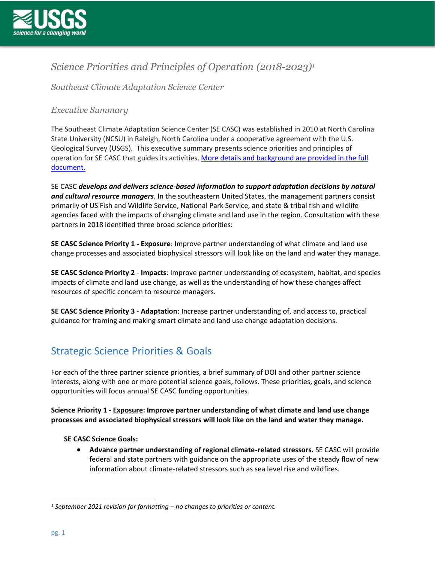

### *Science Priorities and Principles of Operation (2018-2023) 1*

*Southeast Climate Adaptation Science Center* 

### *Executive Summary*

The Southeast Climate Adaptation Science Center (SE CASC) was established in 2010 at North Carolina State University (NCSU) in Raleigh, North Carolina under a cooperative agreement with the U.S. Geological Survey (USGS). This executive summary presents science priorities and principles of operation for SE CASC that guides its activities. [More details and background are](https://secasc.ncsu.edu/wp-content/uploads/sites/14/2021/09/2021-SE-CASC-Science-Plan-FULL.pdf) provided in the full [document.](https://secasc.ncsu.edu/wp-content/uploads/sites/14/2021/09/2021-SE-CASC-Science-Plan-FULL.pdf)

SE CASC *develops and delivers science-based information to support adaptation decisions by natural and cultural resource managers*. In the southeastern United States, the management partners consist primarily of US Fish and Wildlife Service, National Park Service, and state & tribal fish and wildlife agencies faced with the impacts of changing climate and land use in the region. Consultation with these partners in 2018 identified three broad science priorities:

**SE CASC Science Priority 1 - Exposure**: Improve partner understanding of what climate and land use change processes and associated biophysical stressors will look like on the land and water they manage.

**SE CASC Science Priority 2** - **Impacts**: Improve partner understanding of ecosystem, habitat, and species impacts of climate and land use change, as well as the understanding of how these changes affect resources of specific concern to resource managers.

**SE CASC Science Priority 3** - **Adaptation**: Increase partner understanding of, and access to, practical guidance for framing and making smart climate and land use change adaptation decisions.

## Strategic Science Priorities & Goals

For each of the three partner science priorities, a brief summary of DOI and other partner science interests, along with one or more potential science goals, follows. These priorities, goals, and science opportunities will focus annual SE CASC funding opportunities.

**Science Priority 1 - Exposure: Improve partner understanding of what climate and land use change processes and associated biophysical stressors will look like on the land and water they manage.**

#### **SE CASC Science Goals:**

• **Advance partner understanding of regional climate-related stressors.** SE CASC will provide federal and state partners with guidance on the appropriate uses of the steady flow of new information about climate-related stressors such as sea level rise and wildfires.

*<sup>1</sup> September 2021 revision for formatting – no changes to priorities or content.*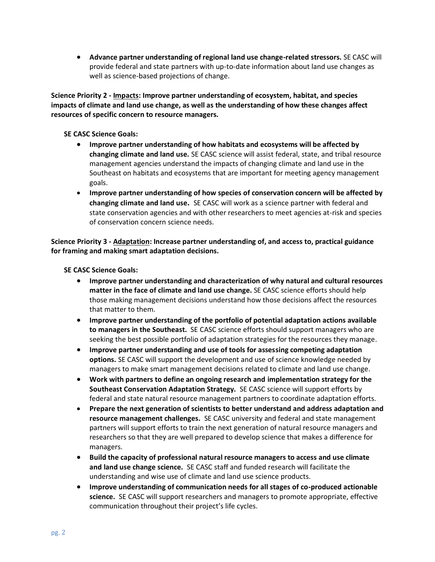• **Advance partner understanding of regional land use change-related stressors.** SE CASC will provide federal and state partners with up-to-date information about land use changes as well as science-based projections of change.

**Science Priority 2 - Impacts: Improve partner understanding of ecosystem, habitat, and species impacts of climate and land use change, as well as the understanding of how these changes affect resources of specific concern to resource managers.**

#### **SE CASC Science Goals:**

- **Improve partner understanding of how habitats and ecosystems will be affected by changing climate and land use.** SE CASC science will assist federal, state, and tribal resource management agencies understand the impacts of changing climate and land use in the Southeast on habitats and ecosystems that are important for meeting agency management goals.
- **Improve partner understanding of how species of conservation concern will be affected by changing climate and land use.** SE CASC will work as a science partner with federal and state conservation agencies and with other researchers to meet agencies at-risk and species of conservation concern science needs.

**Science Priority 3 - Adaptation: Increase partner understanding of, and access to, practical guidance for framing and making smart adaptation decisions.**

**SE CASC Science Goals:**

- **Improve partner understanding and characterization of why natural and cultural resources matter in the face of climate and land use change.** SE CASC science efforts should help those making management decisions understand how those decisions affect the resources that matter to them.
- **Improve partner understanding of the portfolio of potential adaptation actions available to managers in the Southeast.** SE CASC science efforts should support managers who are seeking the best possible portfolio of adaptation strategies for the resources they manage.
- **Improve partner understanding and use of tools for assessing competing adaptation options.** SE CASC will support the development and use of science knowledge needed by managers to make smart management decisions related to climate and land use change.
- **Work with partners to define an ongoing research and implementation strategy for the Southeast Conservation Adaptation Strategy.** SE CASC science will support efforts by federal and state natural resource management partners to coordinate adaptation efforts.
- **Prepare the next generation of scientists to better understand and address adaptation and resource management challenges.** SE CASC university and federal and state management partners will support efforts to train the next generation of natural resource managers and researchers so that they are well prepared to develop science that makes a difference for managers.
- **Build the capacity of professional natural resource managers to access and use climate and land use change science.** SE CASC staff and funded research will facilitate the understanding and wise use of climate and land use science products.
- **Improve understanding of communication needs for all stages of co-produced actionable science.** SE CASC will support researchers and managers to promote appropriate, effective communication throughout their project's life cycles.